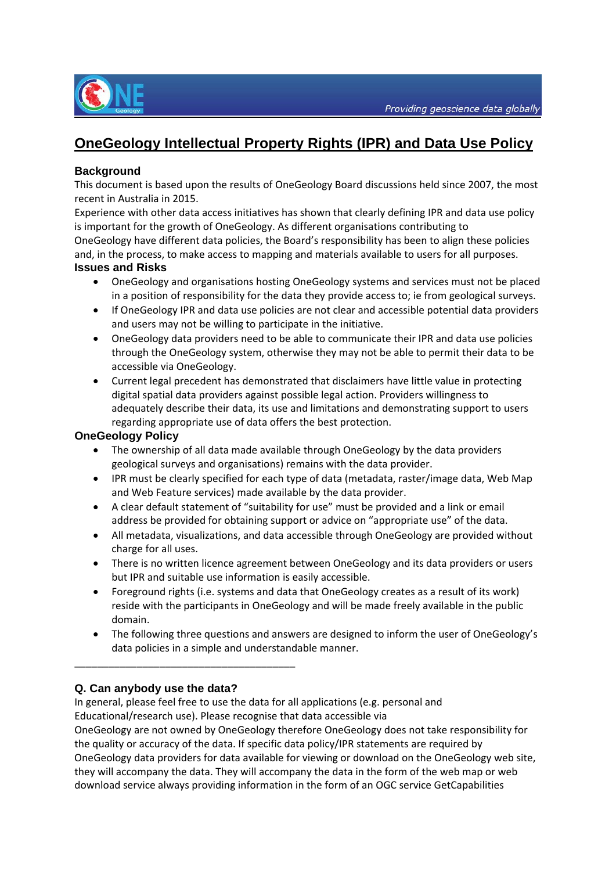

# **OneGeology Intellectual Property Rights (IPR) and Data Use Policy**

## **Background**

This document is based upon the results of OneGeology Board discussions held since 2007, the most recent in Australia in 2015.

Experience with other data access initiatives has shown that clearly defining IPR and data use policy is important for the growth of OneGeology. As different organisations contributing to OneGeology have different data policies, the Board's responsibility has been to align these policies and, in the process, to make access to mapping and materials available to users for all purposes. **Issues and Risks** 

#### OneGeology and organisations hosting OneGeology systems and services must not be placed in a position of responsibility for the data they provide access to; ie from geological surveys.

- If OneGeology IPR and data use policies are not clear and accessible potential data providers and users may not be willing to participate in the initiative.
- OneGeology data providers need to be able to communicate their IPR and data use policies through the OneGeology system, otherwise they may not be able to permit their data to be accessible via OneGeology.
- Current legal precedent has demonstrated that disclaimers have little value in protecting digital spatial data providers against possible legal action. Providers willingness to adequately describe their data, its use and limitations and demonstrating support to users regarding appropriate use of data offers the best protection.

#### **OneGeology Policy**

- The ownership of all data made available through OneGeology by the data providers geological surveys and organisations) remains with the data provider.
- IPR must be clearly specified for each type of data (metadata, raster/image data, Web Map and Web Feature services) made available by the data provider.
- A clear default statement of "suitability for use" must be provided and a link or email address be provided for obtaining support or advice on "appropriate use" of the data.
- All metadata, visualizations, and data accessible through OneGeology are provided without charge for all uses.
- There is no written licence agreement between OneGeology and its data providers or users but IPR and suitable use information is easily accessible.
- Foreground rights (i.e. systems and data that OneGeology creates as a result of its work) reside with the participants in OneGeology and will be made freely available in the public domain.
- The following three questions and answers are designed to inform the user of OneGeology's data policies in a simple and understandable manner.

# **Q. Can anybody use the data?**

\_\_\_\_\_\_\_\_\_\_\_\_\_\_\_\_\_\_\_\_\_\_\_\_\_\_\_\_\_\_\_\_\_\_\_\_\_\_\_

In general, please feel free to use the data for all applications (e.g. personal and Educational/research use). Please recognise that data accessible via OneGeology are not owned by OneGeology therefore OneGeology does not take responsibility for the quality or accuracy of the data. If specific data policy/IPR statements are required by OneGeology data providers for data available for viewing or download on the OneGeology web site, they will accompany the data. They will accompany the data in the form of the web map or web download service always providing information in the form of an OGC service GetCapabilities